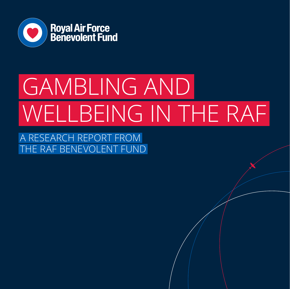

## GAMBLING AND WELLBEING IN THE RAF

A RESEARCH REPORT FROM HE RAF BENEVOLENT FUND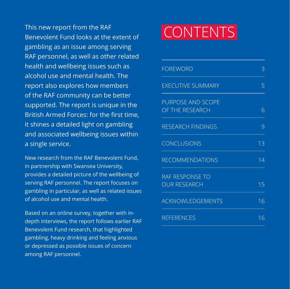This new report from the RAF Benevolent Fund looks at the extent of gambling as an issue among serving RAF personnel, as well as other related health and wellbeing issues such as alcohol use and mental health. The report also explores how members of the RAF community can be better supported. The report is unique in the British Armed Forces: for the first time, it shines a detailed light on gambling and associated wellbeing issues within a single service.

New research from the RAF Benevolent Fund, in partnership with Swansea University, provides a detailed picture of the wellbeing of serving RAF personnel. The report focuses on gambling in particular, as well as related issues of alcohol use and mental health.

Based on an online survey, together with indepth interviews, the report follows earlier RAF Benevolent Fund research, that highlighted gambling, heavy drinking and feeling anxious or depressed as possible issues of concern among RAF personnel.

## **CONTENTS**

| <b>FOREWORD</b>                             | Β  |
|---------------------------------------------|----|
| <b>EXECUTIVE SUMMARY</b>                    | 5  |
| <b>PURPOSE AND SCOPE</b><br>OF THE RESEARCH | 6  |
| <b>RESEARCH FINDINGS</b>                    | 9  |
| CONCLUSIONS                                 | 13 |
| <b>RECOMMENDATIONS</b>                      | 14 |
| RAF RESPONSE TO<br><b>OUR RESEARCH</b>      | 15 |
| <b>ACKNOWLEDGEMENTS</b>                     | 16 |
| <b>REFERENCES</b>                           | 16 |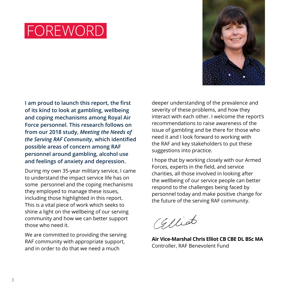### FOREWORD



**I am proud to launch this report, the first of its kind to look at gambling, wellbeing and coping mechanisms among Royal Air Force personnel. This research follows on from our 2018 study,** *Meeting the Needs of the Serving RAF Community***, which identified possible areas of concern among RAF personnel around gambling, alcohol use and feelings of anxiety and depression.**

During my own 35-year military service, I came to understand the impact service life has on some personnel and the coping mechanisms they employed to manage these issues, including those highlighted in this report. This is a vital piece of work which seeks to shine a light on the wellbeing of our serving community and how we can better support those who need it.

We are committed to providing the serving RAF community with appropriate support, and in order to do that we need a much

deeper understanding of the prevalence and severity of these problems, and how they interact with each other. I welcome the report's recommendations to raise awareness of the issue of gambling and be there for those who need it and I look forward to working with the RAF and key stakeholders to put these suggestions into practice.

I hope that by working closely with our Armed Forces, experts in the field, and service charities, all those involved in looking after the wellbeing of our service people can better respond to the challenges being faced by personnel today and make positive change for the future of the serving RAF community.

Glliot

**Air Vice-Marshal Chris Elliot CB CBE DL BSc MA** Controller, RAF Benevolent Fund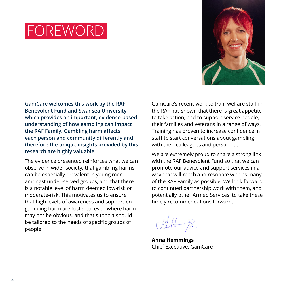### FOREWORD



**GamCare welcomes this work by the RAF Benevolent Fund and Swansea University which provides an important, evidence-based understanding of how gambling can impact the RAF Family. Gambling harm affects each person and community differently and therefore the unique insights provided by this research are highly valuable.**

The evidence presented reinforces what we can observe in wider society; that gambling harms can be especially prevalent in young men, amongst under-served groups, and that there is a notable level of harm deemed low-risk or moderate-risk. This motivates us to ensure that high levels of awareness and support on gambling harm are fostered, even where harm may not be obvious, and that support should be tailored to the needs of specific groups of people.

GamCare's recent work to train welfare staff in the RAF has shown that there is great appetite to take action, and to support service people, their families and veterans in a range of ways. Training has proven to increase confidence in staff to start conversations about gambling with their colleagues and personnel.

We are extremely proud to share a strong link with the RAF Benevolent Fund so that we can promote our advice and support services in a way that will reach and resonate with as many of the RAF Family as possible. We look forward to continued partnership work with them, and potentially other Armed Services, to take these timely recommendations forward.

**Anna Hemmings** Chief Executive, GamCare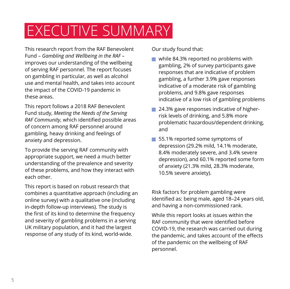### EXECUTIVE SUMMARY

This research report from the RAF Benevolent Fund – *Gambling and Wellbeing in the RAF* – improves our understanding of the wellbeing of serving RAF personnel. The report focuses on gambling in particular, as well as alcohol use and mental health, and takes into account the impact of the COVID-19 pandemic in these areas.

This report follows a 2018 RAF Benevolent Fund study, *Meeting the Needs of the Serving RAF Community*, which identified possible areas of concern among RAF personnel around gambling, heavy drinking and feelings of anxiety and depression.

To provide the serving RAF community with appropriate support, we need a much better understanding of the prevalence and severity of these problems, and how they interact with each other.

This report is based on robust research that combines a quantitative approach (including an online survey) with a qualitative one (including in-depth follow-up interviews). The study is the first of its kind to determine the frequency and severity of gambling problems in a serving UK military population, and it had the largest response of any study of its kind, world-wide.

Our study found that:

- $\blacksquare$  while 84.3% reported no problems with gambling, 2% of survey participants gave responses that are indicative of problem gambling, a further 3.9% gave responses indicative of a moderate risk of gambling problems, and 9.8% gave responses indicative of a low risk of gambling problems
- 24.3% gave responses indicative of higherrisk levels of drinking, and 5.8% more problematic hazardous/dependent drinking, and
- 55.1% reported some symptoms of depression (29.2% mild, 14.1% moderate, 8.4% moderately severe, and 3.4% severe depression), and 60.1% reported some form of anxiety (21.3% mild, 28.3% moderate, 10.5% severe anxiety).

Risk factors for problem gambling were identified as: being male, aged 18–24 years old, and having a non-commissioned rank.

While this report looks at issues within the RAF community that were identified before COVID-19, the research was carried out during the pandemic, and takes account of the effects of the pandemic on the wellbeing of RAF personnel.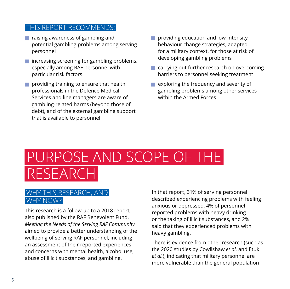#### THIS REPORT RECOMMENDS:

- $\blacksquare$  raising awareness of gambling and potential gambling problems among serving personnel
- $\blacksquare$  increasing screening for gambling problems, especially among RAF personnel with particular risk factors
- $\blacksquare$  providing training to ensure that health professionals in the Defence Medical Services and line managers are aware of gambling-related harms (beyond those of debt), and of the external gambling support that is available to personnel
- $\blacksquare$  providing education and low-intensity behaviour change strategies, adapted for a military context, for those at risk of developing gambling problems
- $\blacksquare$  carrying out further research on overcoming barriers to personnel seeking treatment
- exploring the frequency and severity of gambling problems among other services within the Armed Forces.

### PURPOSE AND SCOPE OF THE **RESEARC**

#### WHY THIS RESEARCH, AND WHY NOW?

This research is a follow-up to a 2018 report, also published by the RAF Benevolent Fund. *Meeting the Needs of the Serving RAF Community* aimed to provide a better understanding of the wellbeing of serving RAF personnel, including an assessment of their reported experiences and concerns with mental health, alcohol use, abuse of illicit substances, and gambling.

In that report, 31% of serving personnel described experiencing problems with feeling anxious or depressed, 4% of personnel reported problems with heavy drinking or the taking of illicit substances, and 2% said that they experienced problems with heavy gambling.

There is evidence from other research (such as the 2020 studies by Cowlishaw *et al.* and Etuk *et al.*), indicating that military personnel are more vulnerable than the general population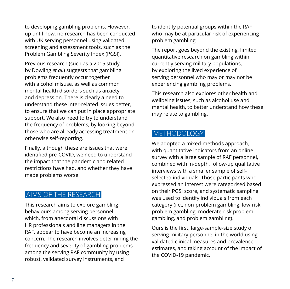to developing gambling problems. However, up until now, no research has been conducted with UK serving personnel using validated screening and assessment tools, such as the Problem Gambling Severity Index (PGSI).

Previous research (such as a 2015 study by Dowling *et al.*) suggests that gambling problems frequently occur together with alcohol misuse, as well as common mental health disorders such as anxiety and depression. There is clearly a need to understand these inter-related issues better, to ensure that we can put in place appropriate support. We also need to try to understand the frequency of problems, by looking beyond those who are already accessing treatment or otherwise self-reporting.

Finally, although these are issues that were identified pre-COVID, we need to understand the impact that the pandemic and related restrictions have had, and whether they have made problems worse.

#### AIMS OF THE RESEARCH

This research aims to explore gambling behaviours among serving personnel which, from anecdotal discussions with HR professionals and line managers in the RAF, appear to have become an increasing concern. The research involves determining the frequency and severity of gambling problems among the serving RAF community by using robust, validated survey instruments, and

to identify potential groups within the RAF who may be at particular risk of experiencing problem gambling.

The report goes beyond the existing, limited quantitative research on gambling within currently serving military populations, by exploring the lived experience of serving personnel who may or may not be experiencing gambling problems.

This research also explores other health and wellbeing issues, such as alcohol use and mental health, to better understand how these may relate to gambling.

#### **METHODOLOGY**

We adopted a mixed-methods approach, with quantitative indicators from an online survey with a large sample of RAF personnel, combined with in-depth, follow-up qualitative interviews with a smaller sample of selfselected individuals. Those participants who expressed an interest were categorised based on their PGSI score, and systematic sampling was used to identify individuals from each category (i.e., non-problem gambling, low-risk problem gambling, moderate-risk problem gambling, and problem gambling).

Ours is the first, large-sample-size study of serving military personnel in the world using validated clinical measures and prevalence estimates, and taking account of the impact of the COVID-19 pandemic.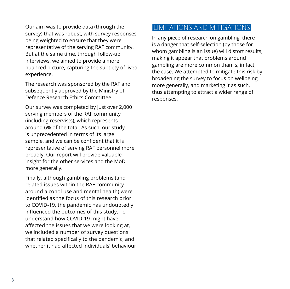Our aim was to provide data (through the survey) that was robust, with survey responses being weighted to ensure that they were representative of the serving RAF community. But at the same time, through follow-up interviews, we aimed to provide a more nuanced picture, capturing the subtlety of lived experience.

The research was sponsored by the RAF and subsequently approved by the Ministry of Defence Research Ethics Committee.

Our survey was completed by just over 2,000 serving members of the RAF community (including reservists), which represents around 6% of the total. As such, our study is unprecedented in terms of its large sample, and we can be confident that it is representative of serving RAF personnel more broadly. Our report will provide valuable insight for the other services and the MoD more generally.

Finally, although gambling problems (and related issues within the RAF community around alcohol use and mental health) were identified as the focus of this research prior to COVID-19, the pandemic has undoubtedly influenced the outcomes of this study. To understand how COVID-19 might have affected the issues that we were looking at, we included a number of survey questions that related specifically to the pandemic, and whether it had affected individuals' behaviour.

#### LIMITATIONS AND MITIGATIONS

In any piece of research on gambling, there is a danger that self-selection (by those for whom gambling is an issue) will distort results, making it appear that problems around gambling are more common than is, in fact, the case. We attempted to mitigate this risk by broadening the survey to focus on wellbeing more generally, and marketing it as such, thus attempting to attract a wider range of responses.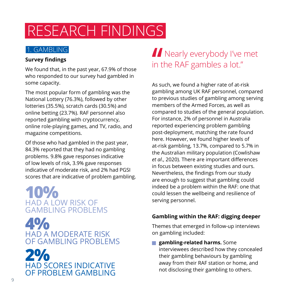### RESEARCH FINDINGS

#### 1. GAMBLING

#### **Survey findings**

We found that, in the past year, 67.9% of those who responded to our survey had gambled in some capacity.

The most popular form of gambling was the National Lottery (76.3%), followed by other lotteries (35.5%), scratch cards (30.5%) and online betting (23.7%). RAF personnel also reported gambling with cryptocurrency, online role-playing games, and TV, radio, and magazine competitions.

Of those who had gambled in the past year, 84.3% reported that they had no gambling problems. 9.8% gave responses indicative of low levels of risk, 3.9% gave responses indicative of moderate risk, and 2% had PGSI scores that are indicative of problem gambling.

**10%** HAD A LOW RISK OF GAMBLING PROBLEMS

**4%** HAD A MODERATE RISK OF GAMBLING PROBLEMS



### **Nearly everybody I've met** in the RAF gambles a lot."

As such, we found a higher rate of at-risk gambling among UK RAF personnel, compared to previous studies of gambling among serving members of the Armed Forces, as well as compared to studies of the general population. For instance, 2% of personnel in Australia reported experiencing problem gambling post-deployment, matching the rate found here. However, we found higher levels of at-risk gambling, 13.7%, compared to 5.7% in the Australian military population (Cowlishaw *et al*., 2020). There are important differences in focus between existing studies and ours. Nevertheless, the findings from our study are enough to suggest that gambling could indeed be a problem within the RAF: one that could lessen the wellbeing and resilience of serving personnel.

#### **Gambling within the RAF: digging deeper**

Themes that emerged in follow-up interviews on gambling included:

**F** gambling-related harms. Some interviewees described how they concealed their gambling behaviours by gambling away from their RAF station or home, and not disclosing their gambling to others.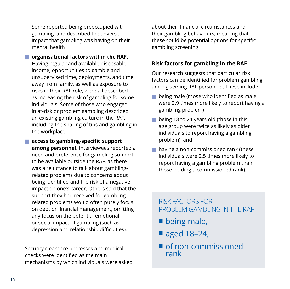Some reported being preoccupied with gambling, and described the adverse impact that gambling was having on their mental health

- **F** organisational factors within the RAF. Having regular and available disposable income, opportunities to gamble and unsupervised time, deployments, and time away from family, as well as exposure to risks in their RAF role, were all described as increasing the risk of gambling for some individuals. Some of those who engaged in at-risk or problem gambling described an existing gambling culture in the RAF, including the sharing of tips and gambling in the workplace
- **F** access to gambling-specific support **among personnel.** Interviewees reported a need and preference for gambling support to be available outside the RAF, as there was a reluctance to talk about gamblingrelated problems due to concerns about being identified and the risk of a negative impact on one's career. Others said that the support they had received for gamblingrelated problems would often purely focus on debt or financial management, omitting any focus on the potential emotional or social impact of gambling (such as depression and relationship difficulties).

Security clearance processes and medical checks were identified as the main mechanisms by which individuals were asked about their financial circumstances and their gambling behaviours, meaning that these could be potential options for specific gambling screening.

#### **Risk factors for gambling in the RAF**

Our research suggests that particular risk factors can be identified for problem gambling among serving RAF personnel. These include:

- $\blacksquare$  being male (those who identified as male were 2.9 times more likely to report having a gambling problem)
- $\blacksquare$  being 18 to 24 years old (those in this age group were twice as likely as older individuals to report having a gambling problem), and
- $\blacksquare$  having a non-commissioned rank (these individuals were 2.5 times more likely to report having a gambling problem than those holding a commissioned rank).

#### RISK FACTORS FOR PROBLEM GAMBLING IN THE RAF

- $\blacksquare$  being male,
- $\blacksquare$  aged 18-24,
- $\blacksquare$  of non-commissioned rank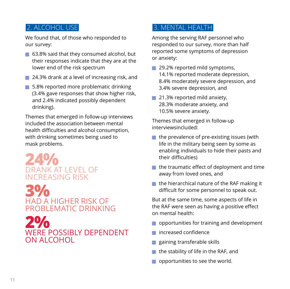#### 2. ALCOHOL USE

We found that, of those who responded to our survey:

- $\Box$  63.8% said that they consumed alcohol, but their responses indicate that they are at the lower end of the risk spectrum
- **J** 24.3% drank at a level of increasing risk, and
- $\blacksquare$  5.8% reported more problematic drinking (3.4% gave responses that show higher risk, and 2.4% indicated possibly dependent drinking).

Themes that emerged in follow-up interviews included the association between mental health difficulties and alcohol consumption, with drinking sometimes being used to mask problems.

**24%** DRANK AT LEVEL OF INCREASING RISK

**3%** HAD A HIGHER RISK OF PROBLEMATIC DRINKING

**2%** WERE POSSIBLY DEPENDENT ON ALCOHOL

#### 3. MENTAL HEALTH

Among the serving RAF personnel who responded to our survey, more than half reported some symptoms of depression or anxiety:

- $\blacksquare$  29.2% reported mild symptoms, 14.1% reported moderate depression, 8.4% moderately severe depression, and 3.4% severe depression, and
- $\blacksquare$  21.3% reported mild anxiety, 28.3% moderate anxiety, and 10.5% severe anxiety.

Themes that emerged in follow-up interviewsincluded:

- $\blacksquare$  the prevalence of pre-existing issues (with life in the military being seen by some as enabling individuals to hide their pasts and their difficulties)
- $\blacksquare$  the traumatic effect of deployment and time away from loved ones, and
- $\blacksquare$  the hierarchical nature of the RAF making it difficult for some personnel to speak out.

But at the same time, some aspects of life in the RAF were seen as having a positive effect on mental health:

- opportunities for training and development
- increased confidence
- $\blacksquare$  gaining transferable skills
- $\blacksquare$  the stability of life in the RAF, and
- $\Box$  opportunities to see the world.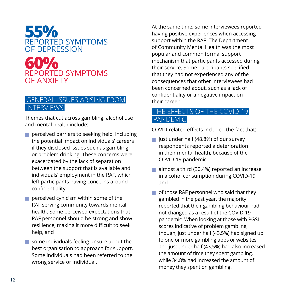

#### GENERAL ISSUES ARISING FROM INTERVIEWS

Themes that cut across gambling, alcohol use and mental health include:

- $\blacksquare$  perceived barriers to seeking help, including the potential impact on individuals' careers if they disclosed issues such as gambling or problem drinking. These concerns were exacerbated by the lack of separation between the support that is available and individuals' employment in the RAF, which left participants having concerns around confidentiality
- $\blacksquare$  perceived cynicism within some of the RAF serving community towards mental health. Some perceived expectations that RAF personnel should be strong and show resilience, making it more difficult to seek help, and
- $\blacksquare$  some individuals feeling unsure about the best organisation to approach for support. Some individuals had been referred to the wrong service or individual.

At the same time, some interviewees reported having positive experiences when accessing support within the RAF. The Department of Community Mental Health was the most popular and common formal support mechanism that participants accessed during their service. Some participants specified that they had not experienced any of the consequences that other interviewees had been concerned about, such as a lack of confidentiality or a negative impact on their career.

#### THE EFFECTS OF THE COVID-19 PANDEMIC

COVID-related effects included the fact that:

- $\blacksquare$  just under half (48.8%) of our survey respondents reported a deterioration in their mental health, because of the COVID-19 pandemic
- almost a third (30.4%) reported an increase in alcohol consumption during COVID-19, and
- $\blacksquare$  of those RAF personnel who said that they gambled in the past year, the majority reported that their gambling behaviour had not changed as a result of the COVID-19 pandemic. When looking at those with PGSI scores indicative of problem gambling, though, just under half (43.5%) had signed up to one or more gambling apps or websites, and just under half (43.5%) had also increased the amount of time they spent gambling, while 34.8% had increased the amount of money they spent on gambling.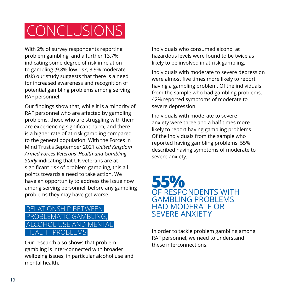### CONCLUSIONS

With 2% of survey respondents reporting problem gambling, and a further 13.7% indicating some degree of risk in relation to gambling (9.8% low risk, 3.9% moderate risk) our study suggests that there is a need for increased awareness and recognition of potential gambling problems among serving RAF personnel.

Our findings show that, while it is a minority of RAF personnel who are affected by gambling problems, those who are struggling with them are experiencing significant harm, and there is a higher rate of at-risk gambling compared to the general population. With the Forces in Mind Trust's September 2021 *United Kingdom Armed Forces Veterans' Health and Gambling Study* indicating that UK veterans are at significant risk of problem gambling, this all points towards a need to take action. We have an opportunity to address the issue now among serving personnel, before any gambling problems they may have get worse.

#### RELATIONSHIP BETWEEN PROBLEMATIC GAMBLING. **ISE AND MENTAL** PROBL

Our research also shows that problem gambling is inter-connected with broader wellbeing issues, in particular alcohol use and mental health.

Individuals who consumed alcohol at hazardous levels were found to be twice as likely to be involved in at-risk gambling.

Individuals with moderate to severe depression were almost five times more likely to report having a gambling problem. Of the individuals from the sample who had gambling problems, 42% reported symptoms of moderate to severe depression.

Individuals with moderate to severe anxiety were three and a half times more likely to report having gambling problems. Of the individuals from the sample who reported having gambling problems, 55% described having symptoms of moderate to severe anxiety.

#### **55%** OF RESPONDENTS WITH GAMBLING PROBLEMS HAD MODERATE OR SEVERE ANXIETY

In order to tackle problem gambling among RAF personnel, we need to understand these interconnections.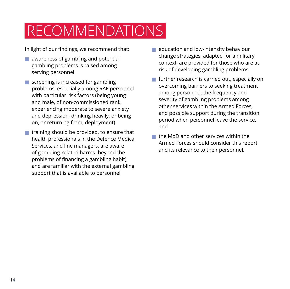### RECOMMENDATIONS

In light of our findings, we recommend that:

- $\blacksquare$  awareness of gambling and potential gambling problems is raised among serving personnel
- $\blacksquare$  screening is increased for gambling problems, especially among RAF personnel with particular risk factors (being young and male, of non-commissioned rank, experiencing moderate to severe anxiety and depression, drinking heavily, or being on, or returning from, deployment)
- $\blacksquare$  training should be provided, to ensure that health professionals in the Defence Medical Services, and line managers, are aware of gambling-related harms (beyond the problems of financing a gambling habit), and are familiar with the external gambling support that is available to personnel
- education and low-intensity behaviour change strategies, adapted for a military context, are provided for those who are at risk of developing gambling problems
- $\blacksquare$  further research is carried out, especially on overcoming barriers to seeking treatment among personnel, the frequency and severity of gambling problems among other services within the Armed Forces, and possible support during the transition period when personnel leave the service, and
- the MoD and other services within the Armed Forces should consider this report and its relevance to their personnel.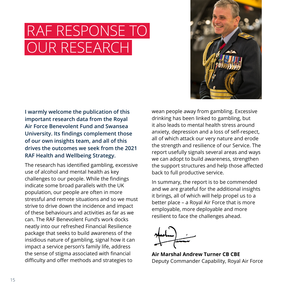### RAF RESPONSE TO OUR RESEARCH



**I warmly welcome the publication of this important research data from the Royal Air Force Benevolent Fund and Swansea University. Its findings complement those of our own insights team, and all of this drives the outcomes we seek from the 2021 RAF Health and Wellbeing Strategy.**

The research has identified gambling, excessive use of alcohol and mental health as key challenges to our people. While the findings indicate some broad parallels with the UK population, our people are often in more stressful and remote situations and so we must strive to drive down the incidence and impact of these behaviours and activities as far as we can. The RAF Benevolent Fund's work docks neatly into our refreshed Financial Resilience package that seeks to build awareness of the insidious nature of gambling, signal how it can impact a service person's family life, address the sense of stigma associated with financial difficulty and offer methods and strategies to

wean people away from gambling. Excessive drinking has been linked to gambling, but it also leads to mental health stress around anxiety, depression and a loss of self-respect, all of which attack our very nature and erode the strength and resilience of our Service. The report usefully signals several areas and ways we can adopt to build awareness, strengthen the support structures and help those affected back to full productive service.

In summary, the report is to be commended and we are grateful for the additional insights it brings, all of which will help propel us to a better place – a Royal Air Force that is more employable, more deployable and more resilient to face the challenges ahead.

**Air Marshal Andrew Turner CB CBE** Deputy Commander Capability, Royal Air Force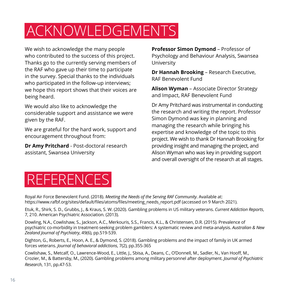### ACKNOWLEDGEMENTS

We wish to acknowledge the many people who contributed to the success of this project. Thanks go to the currently serving members of the RAF who gave up their time to participate in the survey. Special thanks to the individuals who participated in the follow-up interviews; we hope this report shows that their voices are being heard.

We would also like to acknowledge the considerable support and assistance we were given by the RAF.

We are grateful for the hard work, support and encouragement throughout from:

**Dr Amy Pritchard** - Post-doctoral research assistant, Swansea University

**Professor Simon Dymond** – Professor of Psychology and Behaviour Analysis, Swansea University

**Dr Hannah Brooking** – Research Executive, RAF Benevolent Fund

**Alison Wyman** – Associate Director Strategy and Impact, RAF Benevolent Fund

Dr Amy Pritchard was instrumental in conducting the research and writing the report. Professor Simon Dymond was key in planning and managing the research while bringing his expertise and knowledge of the topic to this project. We wish to thank Dr Hannah Brooking for providing insight and managing the project, and Alison Wyman who was key in providing support and overall oversight of the research at all stages.



Royal Air Force Benevolent Fund. (2018). *Meeting the Needs of the Serving RAF Community*. Available at: https://www.rafbf.org/sites/default/files/atoms/files/meeting\_needs\_report.pdf (accessed on 9 March 2021).

Etuk, R., Shirk, S. D., Grubbs, J., & Kraus, S. W. (2020). Gambling problems in US military veterans. *Current Addiction Reports*, 7, 210. American Psychiatric Association. (2013).

Dowling, N.A., Cowlishaw, S., Jackson, A.C., Merkouris, S.S., Francis, K.L., & Christensen, D.R. (2015). Prevalence of psychiatric co-morbidity in treatment-seeking problem gamblers: A systematic review and meta-analysis. *Australian & New Zealand Journal of Psychiatry*, 49(6), pp.519-539.

Dighton, G., Roberts, E., Hoon, A. E., & Dymond, S. (2018). Gambling problems and the impact of family in UK armed forces veterans. *Journal of behavioral addictions*, 7(2), pp.355-365

Cowlishaw, S., Metcalf, O., Lawrence-Wood, E., Little, J., Sbisa, A., Deans, C., O'Donnell, M., Sadler, N., Van Hooff, M., Crozier, M., & Battersby, M., (2020). Gambling problems among military personnel after deployment. *Journal of Psychiatric Research*, 131, pp.47-53.